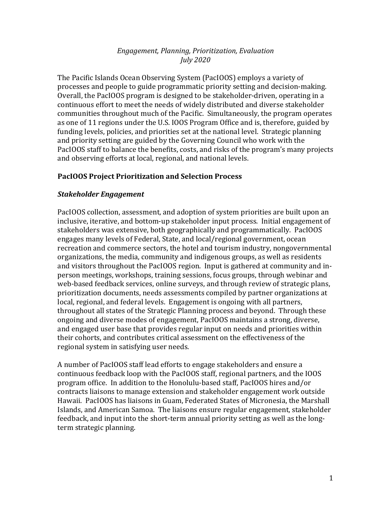## *Engagement, Planning, Prioritization, Evaluation July 2020*

The Pacific Islands Ocean Observing System (PacIOOS) employs a variety of processes and people to guide programmatic priority setting and decision-making. Overall, the PacIOOS program is designed to be stakeholder-driven, operating in a continuous effort to meet the needs of widely distributed and diverse stakeholder communities throughout much of the Pacific. Simultaneously, the program operates as one of 11 regions under the U.S. IOOS Program Office and is, therefore, guided by funding levels, policies, and priorities set at the national level. Strategic planning and priority setting are guided by the Governing Council who work with the PacIOOS staff to balance the benefits, costs, and risks of the program's many projects and observing efforts at local, regional, and national levels.

# **PacIOOS Project Prioritization and Selection Process**

#### *Stakeholder Engagement*

PacIOOS collection, assessment, and adoption of system priorities are built upon an inclusive, iterative, and bottom-up stakeholder input process. Initial engagement of stakeholders was extensive, both geographically and programmatically. PacIOOS engages many levels of Federal, State, and local/regional government, ocean recreation and commerce sectors, the hotel and tourism industry, nongovernmental organizations, the media, community and indigenous groups, as well as residents and visitors throughout the PacIOOS region. Input is gathered at community and inperson meetings, workshops, training sessions, focus groups, through webinar and web-based feedback services, online surveys, and through review of strategic plans, prioritization documents, needs assessments compiled by partner organizations at local, regional, and federal levels. Engagement is ongoing with all partners, throughout all states of the Strategic Planning process and beyond. Through these ongoing and diverse modes of engagement, PacIOOS maintains a strong, diverse, and engaged user base that provides regular input on needs and priorities within their cohorts, and contributes critical assessment on the effectiveness of the regional system in satisfying user needs.

A number of PacIOOS staff lead efforts to engage stakeholders and ensure a continuous feedback loop with the PacIOOS staff, regional partners, and the IOOS program office. In addition to the Honolulu-based staff, PacIOOS hires and/or contracts liaisons to manage extension and stakeholder engagement work outside Hawaii. PacIOOS has liaisons in Guam, Federated States of Micronesia, the Marshall Islands, and American Samoa. The liaisons ensure regular engagement, stakeholder feedback, and input into the short-term annual priority setting as well as the longterm strategic planning.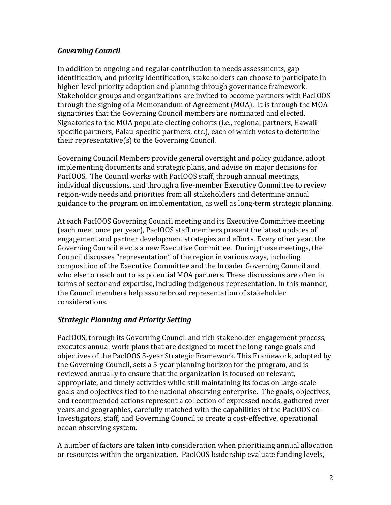## *Governing Council*

In addition to ongoing and regular contribution to needs assessments, gap identification, and priority identification, stakeholders can choose to participate in higher-level priority adoption and planning through governance framework. Stakeholder groups and organizations are invited to become partners with PacIOOS through the signing of a Memorandum of Agreement  $(MOA)$ . It is through the  $MOA$ signatories that the Governing Council members are nominated and elected. Signatories to the MOA populate electing cohorts (i.e., regional partners, Hawaiispecific partners, Palau-specific partners, etc.), each of which votes to determine their representative $(s)$  to the Governing Council.

Governing Council Members provide general oversight and policy guidance, adopt implementing documents and strategic plans, and advise on major decisions for PacIOOS. The Council works with PacIOOS staff, through annual meetings, individual discussions, and through a five-member Executive Committee to review region-wide needs and priorities from all stakeholders and determine annual guidance to the program on implementation, as well as long-term strategic planning.

At each PacIOOS Governing Council meeting and its Executive Committee meeting (each meet once per year), PacIOOS staff members present the latest updates of engagement and partner development strategies and efforts. Every other year, the Governing Council elects a new Executive Committee. During these meetings, the Council discusses "representation" of the region in various ways, including composition of the Executive Committee and the broader Governing Council and who else to reach out to as potential MOA partners. These discussions are often in terms of sector and expertise, including indigenous representation. In this manner, the Council members help assure broad representation of stakeholder considerations.

# *Strategic Planning and Priority Setting*

PacIOOS, through its Governing Council and rich stakeholder engagement process, executes annual work-plans that are designed to meet the long-range goals and objectives of the PacIOOS 5-year Strategic Framework. This Framework, adopted by the Governing Council, sets a 5-year planning horizon for the program, and is reviewed annually to ensure that the organization is focused on relevant, appropriate, and timely activities while still maintaining its focus on large-scale goals and objectives tied to the national observing enterprise. The goals, objectives, and recommended actions represent a collection of expressed needs, gathered over years and geographies, carefully matched with the capabilities of the PacIOOS co-Investigators, staff, and Governing Council to create a cost-effective, operational ocean observing system.

A number of factors are taken into consideration when prioritizing annual allocation or resources within the organization. PacIOOS leadership evaluate funding levels,